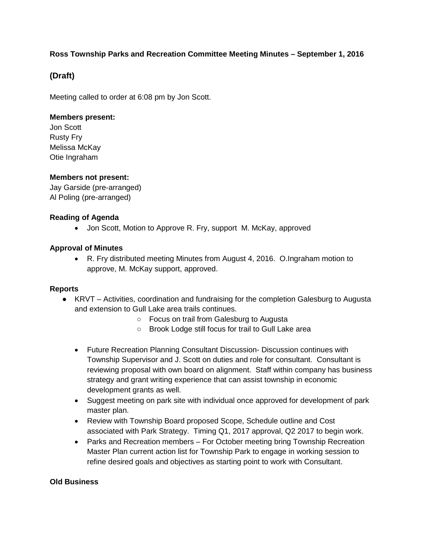## **Ross Township Parks and Recreation Committee Meeting Minutes – September 1, 2016**

# **(Draft)**

Meeting called to order at 6:08 pm by Jon Scott.

### **Members present:**

Jon Scott Rusty Fry Melissa McKay Otie Ingraham

## **Members not present:**

Jay Garside (pre-arranged) Al Poling (pre-arranged)

#### **Reading of Agenda**

• Jon Scott, Motion to Approve R. Fry, support M. McKay, approved

## **Approval of Minutes**

• R. Fry distributed meeting Minutes from August 4, 2016. O.Ingraham motion to approve, M. McKay support, approved.

#### **Reports**

- KRVT Activities, coordination and fundraising for the completion Galesburg to Augusta and extension to Gull Lake area trails continues.
	- Focus on trail from Galesburg to Augusta
	- Brook Lodge still focus for trail to Gull Lake area
	- Future Recreation Planning Consultant Discussion- Discussion continues with Township Supervisor and J. Scott on duties and role for consultant. Consultant is reviewing proposal with own board on alignment. Staff within company has business strategy and grant writing experience that can assist township in economic development grants as well.
	- Suggest meeting on park site with individual once approved for development of park master plan.
	- Review with Township Board proposed Scope, Schedule outline and Cost associated with Park Strategy. Timing Q1, 2017 approval, Q2 2017 to begin work.
	- Parks and Recreation members For October meeting bring Township Recreation Master Plan current action list for Township Park to engage in working session to refine desired goals and objectives as starting point to work with Consultant.

#### **Old Business**